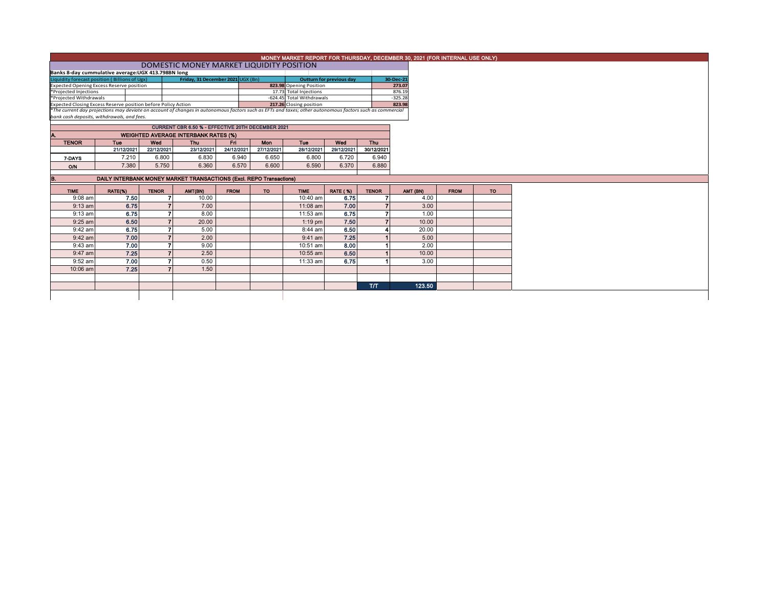| MONEY MARKET REPORT FOR THURSDAY, DECEMBER 30, 2021 (FOR INTERNAL USE ONLY) |  |  |
|-----------------------------------------------------------------------------|--|--|
| MACCTIC MANIEV MANDICT HOURDEN DOCITION                                     |  |  |

Banks 8-day cummulative average:UGX ADOMESTIC MONEY MARKET LIQUIDITY POSITION<br>المسابق المسلم المسلم المسلم المسلم المسلم المسلم المسلم المسلم المسلم المسلم المسلم المسلم المسلم المسلم المس<br>للمسلم المسلم المسلم المسلم المس Expected Opening Excess Reserve position **823.98 Opening Position and American Constant Constant Constant Const**<br>Projected Injections 17.73 Total Injections 17.73 Total Injections 876.19<br>\*Projected Withdrawals -624.45 Tota Expected Closing Excess Reserve position before Policy Action **Experiment Constitution 223.98**<br>The current day projections may deviate on account of changes in autonomous factors such as EFTs and taxes; other autonomous **Outturn for previous day** 

*bank cash deposits, withdrawals, and fees.*

| CURRENT CBR 6.50 % - EFFECTIVE 20TH DECEMBER 2021 |            |            |            |            |            |            |            |            |  |  |  |  |  |
|---------------------------------------------------|------------|------------|------------|------------|------------|------------|------------|------------|--|--|--|--|--|
| <b>WEIGHTED AVERAGE INTERBANK RATES (%)</b><br>Α. |            |            |            |            |            |            |            |            |  |  |  |  |  |
| <b>TENOR</b>                                      | Tue        | Wed        | Thu        | Fri        | Mon        | Tue        | Wed        | Thu        |  |  |  |  |  |
|                                                   | 21/12/2021 | 22/12/2021 | 23/12/2021 | 24/12/2021 | 27/12/2021 | 28/12/2021 | 29/12/2021 | 30/12/2021 |  |  |  |  |  |
| 7-DAYS                                            | 7.210      | 6.800      | 6.830      | 6.940      | 6.650      | 6.800      | 6.720      | 6.940      |  |  |  |  |  |
| O/N                                               | 7.380      | 5.750      | 6.360      | 6.570      | 6.600      | 6.590      | 6.370      | 6.880      |  |  |  |  |  |
|                                                   |            |            |            |            |            |            |            |            |  |  |  |  |  |

| B.          |            |         |              | DAILY INTERBANK MONEY MARKET TRANSACTIONS (Excl. REPO Transactions) |             |           |             |                 |              |          |             |           |
|-------------|------------|---------|--------------|---------------------------------------------------------------------|-------------|-----------|-------------|-----------------|--------------|----------|-------------|-----------|
| <b>TIME</b> |            | RATE(%) | <b>TENOR</b> | AMT(BN)                                                             | <b>FROM</b> | <b>TO</b> | <b>TIME</b> | <b>RATE (%)</b> | <b>TENOR</b> | AMT (BN) | <b>FROM</b> | <b>TO</b> |
|             | $9:08$ am  | 7.50    |              | 10.00                                                               |             |           | 10:40 am    | 6.75            |              | 4.00     |             |           |
|             | $9:13$ am  | 6.75    |              | 7.00                                                                |             |           | $11:08$ am  | 7.00            |              | 3.00     |             |           |
|             | $9:13$ am  | 6.75    |              | 8.00                                                                |             |           | 11:53 am    | 6.75            |              | 1.00     |             |           |
|             | $9:25$ am  | 6.50    |              | 20.00                                                               |             |           | $1:19$ pm   | 7.50            |              | 10.00    |             |           |
|             | $9:42$ am  | 6.75    |              | 5.00                                                                |             |           | 8:44 am     | 6.50            |              | 20.00    |             |           |
|             | $9:42$ am  | 7.00    |              | 2.00                                                                |             |           | $9:41$ am   | 7.25            |              | 5.00     |             |           |
|             | $9:43$ am  | 7.00    |              | 9.00                                                                |             |           | 10:51 am    | 8.00            |              | 2.00     |             |           |
|             | $9:47$ am  | 7.25    |              | 2.50                                                                |             |           | $10:55$ am  | 6.50            |              | 10.00    |             |           |
|             | $9:52$ am  | 7.00    |              | 0.50                                                                |             |           | 11:33 am    | 6.75            |              | 3.00     |             |           |
|             | $10:06$ am | 7.25    |              | 1.50                                                                |             |           |             |                 |              |          |             |           |
|             |            |         |              |                                                                     |             |           |             |                 |              |          |             |           |
|             |            |         |              |                                                                     |             |           |             |                 | <b>T/T</b>   | 123.50   |             |           |
|             |            |         |              |                                                                     |             |           |             |                 |              |          |             |           |
|             |            |         |              |                                                                     |             |           |             |                 |              |          |             |           |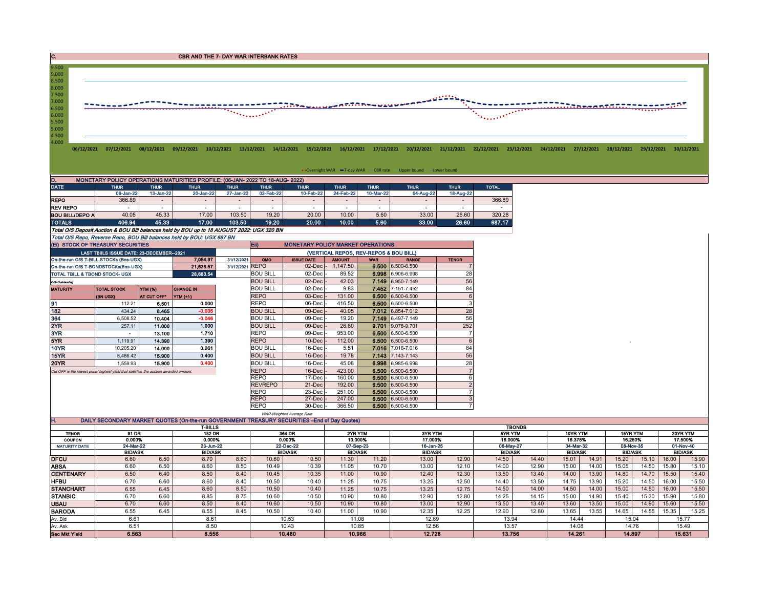C. CREASE CONTROL CONTROL CONTROL CONTROL CONTROL CONTROL CONTROL CONTROL CONTROL CONTROL CONTROL CONTROL CONTROL CONTROL CONTROL CONTROL CONTROL CONTROL CONTROL CONTROL CONTROL CONTROL CONTROL CONTROL CONTROL CONTROL CONT



|                                                                                            |                                                                               |             |             |             |             |                                          |             |             | • Overnight WAR -7-day WAR - CBR rate - Upper bound - Lower bound |             |              |
|--------------------------------------------------------------------------------------------|-------------------------------------------------------------------------------|-------------|-------------|-------------|-------------|------------------------------------------|-------------|-------------|-------------------------------------------------------------------|-------------|--------------|
| D.                                                                                         | MONETARY POLICY OPERATIONS MATURITIES PROFILE: (06-JAN- 2022 TO 18-AUG- 2022) |             |             |             |             |                                          |             |             |                                                                   |             |              |
| <b>DATE</b>                                                                                | <b>THUR</b>                                                                   | <b>THUR</b> | <b>THUR</b> | <b>THUR</b> | <b>THUR</b> | <b>THUR</b>                              | <b>THUR</b> | <b>THUR</b> | <b>THUR</b>                                                       | <b>THUR</b> | <b>TOTAL</b> |
|                                                                                            | 06-Jan-22                                                                     | 13-Jan-22   | 20-Jan-22   | 27-Jan-22   | 03-Feb-22   | 10-Feb-22                                | 24-Feb-22   | 10-Mar-22   | 04-Aug-22                                                         | 18-Aug-22   |              |
| <b>REPO</b>                                                                                | 366.89                                                                        |             |             |             |             |                                          |             |             |                                                                   |             | 366.89       |
| REV REPO                                                                                   |                                                                               |             |             |             |             |                                          | ۰           | ۰           |                                                                   |             |              |
| <b>BOU BILL/DEPO A</b>                                                                     | 40.05                                                                         | 45.33       | 17.00       | 103.50      | 19.20       | 20.00                                    | 10.00       | 5.60        | 33.00                                                             | 26.60       | 320.28       |
| <b>TOTALS</b>                                                                              | 406.94                                                                        | 45.33       | 17.00       | 103.50      | 19.20       | 20.00                                    | 10.00       | 5.60        | 33.00                                                             | 26.60       | 687.17       |
| Total O/S Deposit Auction & BOU Bill balances held by BOU up to 18 AUGUST 2022: UGX 320 BN |                                                                               |             |             |             |             |                                          |             |             |                                                                   |             |              |
| Total O/S Repo, Reverse Repo, BOU Bill balances held by BOU: UGX 687 BN                    |                                                                               |             |             |             |             |                                          |             |             |                                                                   |             |              |
| (EI) STOCK OF TREASURY SECURITIES                                                          |                                                                               |             |             |             | Eii)        | <b>MONETARY POLICY MARKET OPERATIONS</b> |             |             |                                                                   |             |              |

| (EI) STOCK OF TREASURY SECURITIES    |                                                                                       |                    |                                        |                 | Eii)              | <b>MONETARY POLICY MARKET OPERATIONS</b> |               |            |                   |              |  |
|--------------------------------------|---------------------------------------------------------------------------------------|--------------------|----------------------------------------|-----------------|-------------------|------------------------------------------|---------------|------------|-------------------|--------------|--|
|                                      | LAST TBIILS ISSUE DATE: 23-DECEMBER--2021                                             |                    | (VERTICAL REPOS, REV-REPOS & BOU BILL) |                 |                   |                                          |               |            |                   |              |  |
|                                      | On-the-run O/S T-BILL STOCKs (Bns-UGX)                                                |                    | 7.054.97                               | 31/12/2021      | OMO               | <b>ISSUE DATE</b>                        | <b>AMOUNT</b> | <b>WAR</b> | <b>RANGE</b>      | <b>TENOR</b> |  |
| On-the-run O/S T-BONDSTOCKs(Bns-UGX) |                                                                                       |                    | 21,628.57                              | 31/12/2021 REPO |                   | 02-Dec -                                 | 147.50        |            | 6.500 6.500-6.500 |              |  |
| TOTAL TBILL & TBOND STOCK- UGX       |                                                                                       |                    | 28,683.54                              |                 | <b>BOU BILL</b>   | $02$ -Dec $\cdot$                        | 89.52         |            | 6.998 6.906-6.998 | 28           |  |
| O/S=Outstanding                      |                                                                                       |                    |                                        |                 | <b>BOU BILL</b>   | $02$ -Dec                                | 42.03         |            | 7.149 6.950-7.149 | 56           |  |
| <b>MATURITY</b>                      | <b>TOTAL STOCK</b>                                                                    | YTM (%)            | <b>CHANGE IN</b>                       |                 | <b>BOU BILL</b>   | $02$ -Dec $\cdot$                        | 9.83          |            | 7.452 7.151-7.452 | 84           |  |
|                                      | (BN UGX)                                                                              | <b>AT CUT OFF*</b> | <b>YTM</b> (+/-)                       |                 | <b>REPO</b>       | $03$ -Dec                                | 131.00        |            | 6.500 6.500-6.500 |              |  |
| 91                                   | 112.21                                                                                | 6.501              | 0.000                                  |                 | <b>REPO</b>       | 06-Dec                                   | 416.50        |            | 6.500 6.500-6.500 |              |  |
| 182                                  | 434.24                                                                                | 8.465              | $-0.035$                               |                 | <b>BOU BILL</b>   | $09$ -Dec $\vert$                        | 40.05         |            | 7.012 6.854-7.012 | 28           |  |
| 364                                  | 6,508.52                                                                              | 10.404             | $-0.046$                               |                 | <b>BOU BILL</b>   | 09-Dec -                                 | 19.20         |            | 7.149 6.497-7.149 | 56           |  |
| 2YR                                  | 257.11                                                                                | 11.000             | 1.000                                  |                 | <b>BOU BILL</b>   | 09-Dec                                   | 26.60         |            | 9.701 9.078-9.701 | 252          |  |
| 3YR                                  |                                                                                       | 13.100             | 1.710                                  |                 | <b>REPO</b>       | 09-Dec                                   | 953.00        |            | 6.500 6.500-6.500 |              |  |
| 5YR                                  | 1.119.91                                                                              | 14.390             | 1.390                                  |                 | <b>REPO</b>       | 10-Dec                                   | 112.00        |            | 6.500 6.500-6.500 |              |  |
| 10YR                                 | 10,205.20                                                                             | 14.000             | 0.261                                  |                 | <b>BOU BILL</b>   | $16$ -Dec                                | 5.51          |            | 7.016 7.016-7.016 | 84           |  |
| 15YR                                 | 8,486.42                                                                              | 15.900             | 0.400                                  |                 | <b>BOU BILL</b>   | $16$ -Dec $\vert$                        | 19.78         |            | 7.143 7.143-7.143 | 56           |  |
| <b>20YR</b>                          | 1.559.93                                                                              | 15.900             | 0.400                                  |                 | <b>BOU BILL</b>   | 16-Dec -                                 | 45.08         |            | 6.998 6.985-6.998 | 28           |  |
|                                      | Cut OFF is the lowest price/ highest yield that satisfies the auction awarded amount. |                    |                                        |                 | <b>REPO</b>       | $16$ -Dec                                | 423.00        |            | 6.500 6.500-6.500 |              |  |
|                                      | <b>REPO</b>                                                                           | 17-Dec             | 160.00                                 |                 | 6,500 6.500-6.500 |                                          |               |            |                   |              |  |
|                                      |                                                                                       |                    |                                        |                 | <b>REVREPO</b>    | 21-Dec                                   | 192.00        |            | 6.500 6.500-6.500 |              |  |
|                                      |                                                                                       |                    |                                        |                 | <b>REPO</b>       | 23-Dec                                   | 251.00        |            | 6.500 6.500-6.500 |              |  |
|                                      |                                                                                       |                    |                                        |                 | <b>REPO</b>       | 27-Dec                                   | 247.00        |            | 6.500 6.500-6.500 |              |  |
|                                      |                                                                                       |                    |                                        |                 | <b>REPO</b>       | 30-Dec -                                 | 366.50        |            | 6,500 6.500-6.500 |              |  |

|                      |                                                                                                |      |                |      |       | WAR-Weighted Average Rate |                |         |                |         |                |          |                |       |                |       |                |        |
|----------------------|------------------------------------------------------------------------------------------------|------|----------------|------|-------|---------------------------|----------------|---------|----------------|---------|----------------|----------|----------------|-------|----------------|-------|----------------|--------|
| н.                   | DAILY SECONDARY MARKET QUOTES (On-the-run GOVERNMENT TREASURY SECURITIES -- End of Day Quotes) |      |                |      |       |                           |                |         |                |         |                |          |                |       |                |       |                |        |
|                      |                                                                                                |      | <b>T-BILLS</b> |      |       |                           | <b>TBONDS</b>  |         |                |         |                |          |                |       |                |       |                |        |
| <b>TENOR</b>         | 91 DR<br>182 DR                                                                                |      | 364 DR         |      |       | 2YR YTM                   |                | 3YR YTM |                | 5YR YTM |                | 10YR YTM | 15YR YTM       |       | 20YR YTM       |       |                |        |
| <b>COUPON</b>        | 0.000%                                                                                         |      | 0.000%         |      |       | 0.000%                    | 10.000%        |         | 17.000%        |         | 16.000%        |          | 16.375%        |       | 16.250%        |       | 17.500%        |        |
| <b>MATURITY DATE</b> | 24-Mar-22                                                                                      |      | 23-Jun-22      |      |       | 22-Dec-22                 | 07-Sep-23      |         | 16-Jan-25      |         | 06-May-27      |          | 04-Mar-32      |       | 08-Nov-35      |       | 01-Nov-40      |        |
|                      | <b>BID/ASK</b>                                                                                 |      | <b>BID/ASK</b> |      |       | <b>BID/ASK</b>            | <b>BID/ASK</b> |         | <b>BID/ASK</b> |         | <b>BID/ASK</b> |          | <b>BID/ASK</b> |       | <b>BID/ASK</b> |       | <b>BID/ASK</b> |        |
| <b>DFCU</b>          | 6.60                                                                                           | 6.50 | 8.70           | 8.60 | 10.60 | 10.50                     | 11.30          | 11.20   | 13.00          | 12.90   | 14.50          | 14.40    | 15.01          | 14.91 | 15.20          | 15.10 | 16.00          | 15.90  |
| <b>ABSA</b>          | 6.60                                                                                           | 6.50 | 8.60           | 8.50 | 10.49 | 10.39                     | 11.05          | 10.70   | 13.00          | 12.10   | 14.00          | 12.90    | 15.00          | 14.00 | 15.05          | 14.50 | 15.80          | 15.10  |
| <b>CENTENARY</b>     | 6.50                                                                                           | 6.40 | 8.50           | 8.40 | 10.45 | 10.35                     | 11.00          | 10.90   | 12.40          | 12.30   | 13.50          | 13.40    | 14.00          | 13.90 | 14.80          | 14.70 | 15.50          | 15.40  |
| <b>HFBU</b>          | 6.70                                                                                           | 6.60 | 8.60           | 8.40 | 10.50 | 10.40                     | 11.25          | 10.75   | 13.25          | 12.50   | 14.40          | 13.50    | 14.75          | 13.90 | 15.20          | 14.50 | 16.00          | 15.50  |
| <b>STANCHART</b>     | 6.55                                                                                           | 6.45 | 8.60           | 8.50 | 10.50 | 10.40                     | 11.25          | 10.75   | 13.25          | 12.75   | 14.50          | 14.00    | 14.50          | 14.00 | 15.00          | 14.50 | 16.00          | 15.50  |
| <b>STANBIC</b>       | 6.70                                                                                           | 6.60 | 8.85           | 8.75 | 10.60 | 10.50                     | 10.90          | 10.80   | 12.90          | 12.80   | 14.25          | 14.15    | 15.00          | 14.90 | 15.40          | 15.30 | 15.90          | 15.80  |
| <b>UBAU</b>          | 6.70                                                                                           | 6.60 | 8.50           | 8.40 | 10.60 | 10.50                     | 10.90          | 10.80   | 13.00          | 12.90   | 13.50          | 13.40    | 13.60          | 13.50 | 15.00          | 14.90 | 15.60          | 15.50  |
| <b>BARODA</b>        | 6.55                                                                                           | 6.45 | 8.55           | 8.45 | 10.50 | 10.40                     | 11.00          | 10.90   | 12.35          | 12.25   | 12.90          | 12.80    | 13.65          | 13.55 | 14.65          | 14.55 | 15.35          | 15.25  |
| Av. Bid              | 6.61                                                                                           |      | 8.61           |      |       | 10.53                     | 11.08          |         | 12.89          |         | 13.94          |          | 14.44          |       | 15.04          |       | 15.77          |        |
| Av. Ask              | 6.51                                                                                           |      | 8.50           |      |       | 10.43                     | 10.85          |         | 12.56          |         |                | 13.57    |                | 14.08 | 14.76          |       | 15.49          |        |
| <b>Sec Mkt Yield</b> | 6.563                                                                                          |      | 8,556          |      |       | 10.480                    | 10.966         |         | 12.728         |         | 13.756         |          | 14.261         |       | 14.897         |       |                | 15.631 |